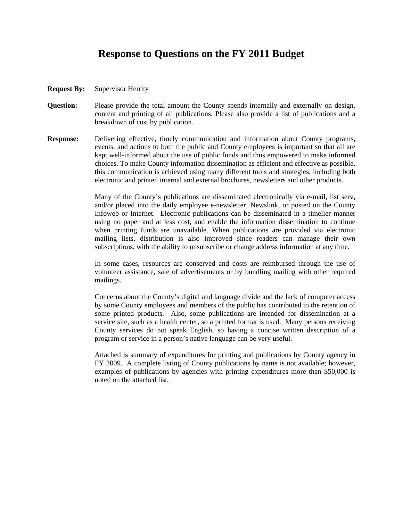## **Response to Questions on the FY 2011 Budget**

- **Request By:** Supervisor Herrity
- **Question:** Please provide the total amount the County spends internally and externally on design, content and printing of all publications. Please also provide a list of publications and a breakdown of cost by publication.
- **Response:** Delivering effective, timely communication and information about County programs, events, and actions to both the public and County employees is important so that all are kept well-informed about the use of public funds and thus empowered to make informed choices. To make County information dissemination as efficient and effective as possible, this communication is achieved using many different tools and strategies, including both electronic and printed internal and external brochures, newsletters and other products.

Many of the County's publications are disseminated electronically via e-mail, list serv, and/or placed into the daily employee e-newsletter, Newslink, or posted on the County Infoweb or Internet. Electronic publications can be disseminated in a timelier manner using no paper and at less cost, and enable the information dissemination to continue when printing funds are unavailable. When publications are provided via electronic mailing lists, distribution is also improved since readers can manage their own subscriptions, with the ability to unsubscribe or change address information at any time.

In some cases, resources are conserved and costs are reimbursed through the use of volunteer assistance, sale of advertisements or by bundling mailing with other required mailings.

Concerns about the County's digital and language divide and the lack of computer access by some County employees and members of the public has contributed to the retention of some printed products. Also, some publications are intended for dissemination at a service site, such as a health center, so a printed format is used. Many persons receiving County services do not speak English, so having a concise written description of a program or service in a person's native language can be very useful.

Attached is summary of expenditures for printing and publications by County agency in FY 2009. A complete listing of County publications by name is not available; however, examples of publications by agencies with printing expenditures more than \$50,000 is noted on the attached list.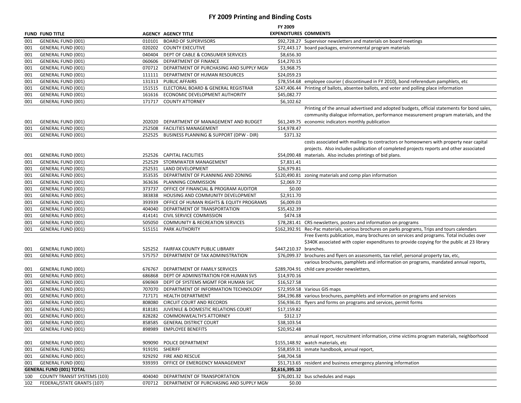## **FY 2009 Printing and Binding Costs**

|            |                                                 |        |                                                                       | FY 2009                      |                                                                                                                   |
|------------|-------------------------------------------------|--------|-----------------------------------------------------------------------|------------------------------|-------------------------------------------------------------------------------------------------------------------|
|            | <b>FUND FUND TITLE</b>                          |        | <b>AGENCY AGENCY TITLE</b>                                            | <b>EXPENDITURES COMMENTS</b> |                                                                                                                   |
| 001        | GENERAL FUND (001)                              | 010101 | <b>BOARD OF SUPERVISORS</b>                                           |                              | \$92,728.27 Supervisor newsletters and materials on board meetings                                                |
| 001        | <b>GENERAL FUND (001)</b>                       |        | 020202 COUNTY EXECUTIVE                                               |                              | \$72,443.17 board packages, environmental program materials                                                       |
| 001        | <b>GENERAL FUND (001)</b>                       |        | 040404 DEPT OF CABLE & CONSUMER SERVICES                              | \$8,656.30                   |                                                                                                                   |
| 001        | GENERAL FUND (001)                              |        | 060606 DEPARTMENT OF FINANCE                                          | \$14,270.15                  |                                                                                                                   |
| 001        | GENERAL FUND (001)                              |        | 070712 DEPARTMENT OF PURCHASING AND SUPPLY MGN                        | \$3,968.75                   |                                                                                                                   |
| 001        | GENERAL FUND (001)                              | 111111 | DEPARTMENT OF HUMAN RESOURCES                                         | \$24,059.23                  |                                                                                                                   |
| 001        | GENERAL FUND (001)                              |        | 131313 PUBLIC AFFAIRS                                                 |                              | \$78,554.68 employee courier (discontinued in FY 2010), bond referendum pamphlets, etc                            |
| 001        | GENERAL FUND (001)                              |        | 151515 ELECTORAL BOARD & GENERAL REGISTRAR                            |                              | \$247,406.44 Printing of ballots, absentee ballots, and voter and polling place information                       |
| 001        | GENERAL FUND (001)                              |        | 161616 ECONOMIC DEVELOPMENT AUTHORITY                                 | \$45,082.77                  |                                                                                                                   |
| 001        | <b>GENERAL FUND (001)</b>                       |        | 171717 COUNTY ATTORNEY                                                | \$6,102.62                   |                                                                                                                   |
|            |                                                 |        |                                                                       |                              | Printing of the annual advertised and adopted budgets, official statements for bond sales,                        |
|            |                                                 |        |                                                                       |                              | community dialogue information, performance measurement program materials, and the                                |
| 001        | <b>GENERAL FUND (001)</b>                       | 202020 | DEPARTMENT OF MANAGEMENT AND BUDGET                                   |                              | \$61,249.75 economic indicators monthly publication                                                               |
| 001        | GENERAL FUND (001)                              |        | 252508 FACILITIES MANAGEMENT                                          | \$14,978.47                  |                                                                                                                   |
| 001        | GENERAL FUND (001)                              |        | 252525 BUSINESS PLANNING & SUPPORT (DPW - DIR)                        | \$371.32                     |                                                                                                                   |
|            |                                                 |        |                                                                       |                              | costs associated with mailings to contractors or homeowners with property near capital                            |
|            |                                                 |        |                                                                       |                              | projects. Also includes publication of completed projects reports and other associated                            |
| 001        | GENERAL FUND (001)                              |        | 252526 CAPITAL FACILITIES                                             |                              | \$54,090.48 materials. Also includes printings of bid plans.                                                      |
| 001        | GENERAL FUND (001)                              | 252529 | STORMWATER MANAGEMENT                                                 | \$7,831.41                   |                                                                                                                   |
| 001        | GENERAL FUND (001)                              |        | 252531 LAND DEVELOPMENT                                               | \$26,979.81                  |                                                                                                                   |
| 001        | GENERAL FUND (001)                              |        | 353535 DEPARTMENT OF PLANNING AND ZONING                              |                              | \$120,490.81 zoning materials and comp plan information                                                           |
| 001        | GENERAL FUND (001)                              |        | 363636 PLANNING COMMISSION                                            | \$2,069.72                   |                                                                                                                   |
| 001        | GENERAL FUND (001)                              | 373737 | OFFICE OF FINANCIAL & PROGRAM AUDITOR                                 | \$0.00                       |                                                                                                                   |
| 001        | GENERAL FUND (001)                              |        | 383838 HOUSING AND COMMUNITY DEVELOPMENT                              | \$2,911.70                   |                                                                                                                   |
| 001        | GENERAL FUND (001)                              |        | 393939 OFFICE OF HUMAN RIGHTS & EQUITY PROGRAMS                       | \$6,009.03                   |                                                                                                                   |
| 001        | GENERAL FUND (001)                              | 404040 | DEPARTMENT OF TRANSPORTATION                                          | \$35,432.39                  |                                                                                                                   |
| 001        | GENERAL FUND (001)                              |        | 414141 CIVIL SERVICE COMMISSION                                       | \$474.18                     |                                                                                                                   |
| 001        | GENERAL FUND (001)                              |        | 505050 COMMUNITY & RECREATION SERVICES                                |                              | \$78,281.41 CRS newsletters, posters and information on programs                                                  |
| 001        | GENERAL FUND (001)                              |        | 515151 PARK AUTHORITY                                                 |                              | \$162,392.91 Rec-Pac materials, various brochures on parks programs, Trips and tours calendars                    |
|            |                                                 |        |                                                                       |                              | Free Events publication, many brochures on services and programs. Total includes over                             |
|            |                                                 |        |                                                                       |                              | \$340K associated with copier expenditures to provide copying for the public at 23 library                        |
| 001        | GENERAL FUND (001)                              |        | 525252 FAIRFAX COUNTY PUBLIC LIBRARY                                  | \$447,210.37 branches.       |                                                                                                                   |
| 001        | <b>GENERAL FUND (001)</b>                       | 575757 | DEPARTMENT OF TAX ADMINISTRATION                                      |                              | \$76,099.37 brochures and flyers on assessments, tax relief, personal property tax, etc,                          |
|            |                                                 |        |                                                                       |                              | various brochures, pamphlets and information on programs, mandated annual reports,                                |
| 001        | GENERAL FUND (001)                              | 676767 | DEPARTMENT OF FAMILY SERVICES                                         |                              | \$289,704.91 child care provider newsletters,                                                                     |
| 001        | GENERAL FUND (001)                              | 686868 | DEPT OF ADMINISTRATION FOR HUMAN SVS                                  | \$14,970.16                  |                                                                                                                   |
| 001        | GENERAL FUND (001)                              |        | 696969 DEPT OF SYSTEMS MGMT FOR HUMAN SVC                             | \$16,527.58                  |                                                                                                                   |
| 001        | GENERAL FUND (001)                              |        | 707070 DEPARTMENT OF INFORMATION TECHNOLOGY                           |                              | \$72,959.58 Various GIS maps<br>\$84,196.88 various brochures, pamphlets and information on programs and services |
| 001        | GENERAL FUND (001)                              |        | 717171 HEALTH DEPARTMENT                                              |                              |                                                                                                                   |
| 001        | GENERAL FUND (001)                              | 808080 | <b>CIRCUIT COURT AND RECORDS</b>                                      |                              | \$56,936.01 flyers and forms on programs and services, permit forms                                               |
| 001        | GENERAL FUND (001)                              | 818181 | JUVENILE & DOMESTIC RELATIONS COURT<br>828282 COMMONWEALTH'S ATTORNEY | \$17,159.82                  |                                                                                                                   |
| 001        | GENERAL FUND (001)                              |        |                                                                       | \$312.17                     |                                                                                                                   |
| 001        | <b>GENERAL FUND (001)</b>                       | 858585 | <b>GENERAL DISTRICT COURT</b>                                         | \$38,103.54                  |                                                                                                                   |
| 001        | <b>GENERAL FUND (001)</b>                       | 898989 | <b>EMPLOYEE BENEFITS</b>                                              | \$20,952.48                  |                                                                                                                   |
|            |                                                 |        |                                                                       |                              | annual report, recruitment information, crime victims program materials, neighborhood                             |
| 001        | <b>GENERAL FUND (001)</b>                       | 909090 | POLICE DEPARTMENT                                                     |                              | \$155,148.92 watch materials, etc                                                                                 |
| 001        | <b>GENERAL FUND (001)</b>                       |        | 919191 SHERIFF                                                        |                              | \$58,859.31 inmate handbook, annual report,                                                                       |
| 001<br>001 | GENERAL FUND (001)<br><b>GENERAL FUND (001)</b> | 939393 | 929292 FIRE AND RESCUE<br>OFFICE OF EMERGENCY MANAGEMENT              | \$48,704.58                  | \$51,713.65 resident and business emergency planning information                                                  |
|            | <b>GENERAL FUND (001) TOTAL</b>                 |        |                                                                       | \$2,616,395.10               |                                                                                                                   |
| 100        | <b>COUNTY TRANSIT SYSTEMS (103)</b>             |        | 404040 DEPARTMENT OF TRANSPORTATION                                   |                              | \$76,001.32 bus schedules and maps                                                                                |
| 102        | FEDERAL/STATE GRANTS (107)                      |        | 070712 DEPARTMENT OF PURCHASING AND SUPPLY MGN                        | \$0.00                       |                                                                                                                   |
|            |                                                 |        |                                                                       |                              |                                                                                                                   |